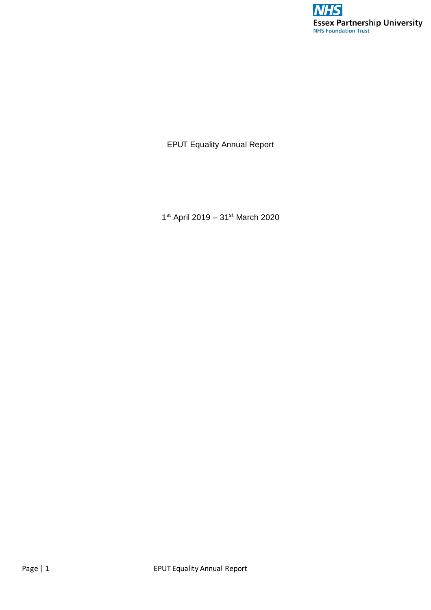

EPUT Equality Annual Report

1<sup>st</sup> April 2019 - 31<sup>st</sup> March 2020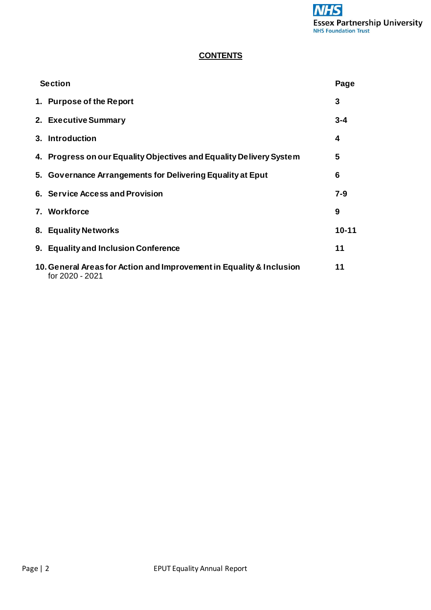# **CONTENTS**

| <b>Section</b> |                                                                                         | Page      |
|----------------|-----------------------------------------------------------------------------------------|-----------|
|                | 1. Purpose of the Report                                                                | 3         |
|                | 2. Executive Summary                                                                    | $3 - 4$   |
|                | 3. Introduction                                                                         | 4         |
|                | 4. Progress on our Equality Objectives and Equality Delivery System                     | 5         |
|                | 5. Governance Arrangements for Delivering Equality at Eput                              | 6         |
|                | 6. Service Access and Provision                                                         | $7 - 9$   |
|                | 7. Workforce                                                                            | 9         |
|                | 8. Equality Networks                                                                    | $10 - 11$ |
|                | 9. Equality and Inclusion Conference                                                    | 11        |
|                | 10. General Areas for Action and Improvement in Equality & Inclusion<br>for 2020 - 2021 | 11        |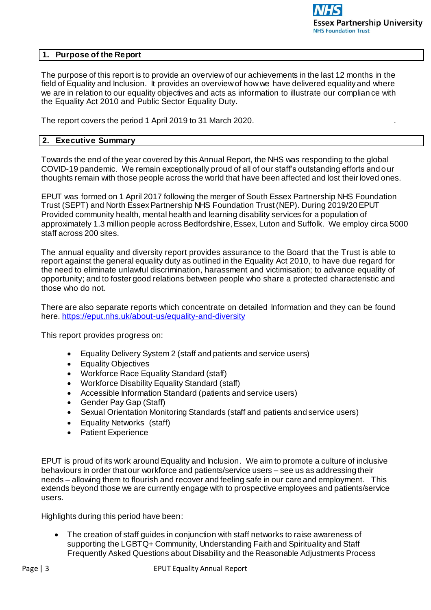### **1. Purpose of the Report**

The purpose of this report is to provide an overview of our achievements in the last 12 months in the field of Equality and Inclusion. It provides an overview of how we have delivered equality and where we are in relation to our equality objectives and acts as information to illustrate our complian ce with the Equality Act 2010 and Public Sector Equality Duty.

The report covers the period 1 April 2019 to 31 March 2020. .

### **2. Executive Summary**

Towards the end of the year covered by this Annual Report, the NHS was responding to the global COVID-19 pandemic. We remain exceptionally proud of all of our staff's outstanding efforts and our thoughts remain with those people across the world that have been affected and lost their loved ones.

EPUT was formed on 1 April 2017 following the merger of South Essex Partnership NHS Foundation Trust (SEPT) and North Essex Partnership NHS Foundation Trust (NEP). During 2019/20 EPUT Provided community health, mental health and learning disability services for a population of approximately 1.3 million people across Bedfordshire, Essex, Luton and Suffolk. We employ circa 5000 staff across 200 sites.

The annual equality and diversity report provides assurance to the Board that the Trust is able to report against the general equality duty as outlined in the Equality Act 2010, to have due regard for the need to eliminate unlawful discrimination, harassment and victimisation; to advance equality of opportunity; and to foster good relations between people who share a protected characteristic and those who do not.

There are also separate reports which concentrate on detailed Information and they can be found here. [https://eput.nhs.uk/about-us/equality-and-diversi](https://eput.nhs.uk/about-us/equality-and-diversity)ty

This report provides progress on:

- Equality Delivery System 2 (staff and patients and service users)
- Equality Objectives
- Workforce Race Equality Standard (staff)
- Workforce Disability Equality Standard (staff)
- Accessible Information Standard (patients and service users)
- Gender Pay Gap (Staff)
- Sexual Orientation Monitoring Standards (staff and patients and service users)
- Equality Networks (staff)
- Patient Experience

EPUT is proud of its work around Equality and Inclusion. We aim to promote a culture of inclusive behaviours in order that our workforce and patients/service users – see us as addressing their needs – allowing them to flourish and recover and feeling safe in our care and employment. This extends beyond those we are currently engage with to prospective employees and patients/service users.

Highlights during this period have been:

 The creation of staff guides in conjunction with staff networks to raise awareness of supporting the LGBTQ+ Community, Understanding Faith and Spirituality and Staff Frequently Asked Questions about Disability and the Reasonable Adjustments Process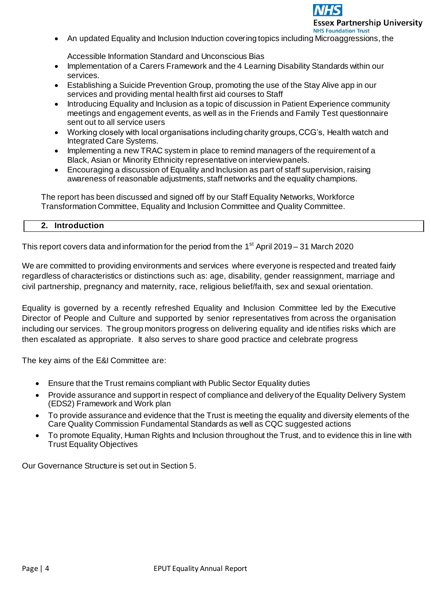

An updated Equality and Inclusion Induction covering topics including Microaggressions, the

Accessible Information Standard and Unconscious Bias

- Implementation of a Carers Framework and the 4 Learning Disability Standards within our services.
- Establishing a Suicide Prevention Group, promoting the use of the Stay Alive app in our services and providing mental health first aid courses to Staff
- Introducing Equality and Inclusion as a topic of discussion in Patient Experience community meetings and engagement events, as well as in the Friends and Family Test questionnaire sent out to all service users
- Working closely with local organisations including charity groups, CCG's, Health watch and Integrated Care Systems.
- Implementing a new TRAC system in place to remind managers of the requirement of a Black, Asian or Minority Ethnicity representative on interview panels.
- Encouraging a discussion of Equality and Inclusion as part of staff supervision, raising awareness of reasonable adjustments, staff networks and the equality champions.

The report has been discussed and signed off by our Staff Equality Networks, Workforce Transformation Committee, Equality and Inclusion Committee and Quality Committee.

#### **2. Introduction**

This report covers data and information for the period from the 1<sup>st</sup> April 2019 – 31 March 2020

We are committed to providing environments and services where everyone is respected and treated fairly regardless of characteristics or distinctions such as: age, disability, gender reassignment, marriage and civil partnership, pregnancy and maternity, race, religious belief/faith, sex and sexual orientation.

Equality is governed by a recently refreshed Equality and Inclusion Committee led by the Executive Director of People and Culture and supported by senior representatives from across the organisation including our services. The group monitors progress on delivering equality and identifies risks which are then escalated as appropriate. It also serves to share good practice and celebrate progress

The key aims of the E&I Committee are:

- Ensure that the Trust remains compliant with Public Sector Equality duties
- Provide assurance and support in respect of compliance and delivery of the Equality Delivery System (EDS2) Framework and Work plan
- To provide assurance and evidence that the Trust is meeting the equality and diversity elements of the Care Quality Commission Fundamental Standards as well as CQC suggested actions
- To promote Equality, Human Rights and Inclusion throughout the Trust, and to evidence this in line with Trust Equality Objectives

Our Governance Structure is set out in Section 5.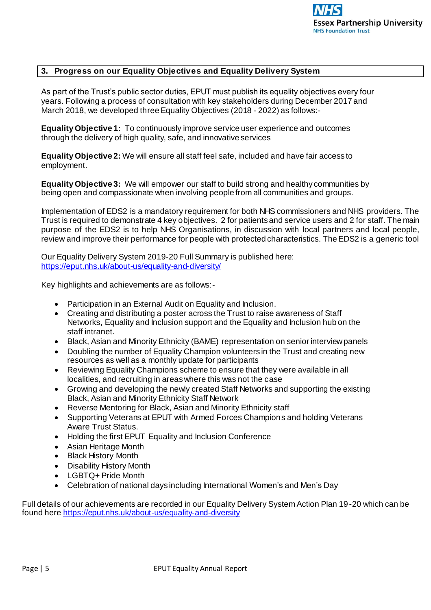

#### **3. Progress on our Equality Objectives and Equality Delivery System**

As part of the Trust's public sector duties, EPUT must publish its equality objectives every four years. Following a process of consultation with key stakeholders during December 2017 and March 2018, we developed three Equality Objectives (2018 - 2022) as follows:-

**Equality Objective 1:** To continuously improve service user experience and outcomes through the delivery of high quality, safe, and innovative services

**Equality Objective 2:** We will ensure all staff feel safe, included and have fair access to employment.

**Equality Objective 3:** We will empower our staff to build strong and healthy communities by being open and compassionate when involving people from all communities and groups.

Implementation of EDS2 is a mandatory requirement for both NHS commissioners and NHS providers. The Trust is required to demonstrate 4 key objectives. 2 for patients and service users and 2 for staff. The main purpose of the EDS2 is to help NHS Organisations, in discussion with local partners and local people, review and improve their performance for people with protected characteristics. The EDS2 is a generic tool

Our Equality Delivery System 2019-20 Full Summary is published here: <https://eput.nhs.uk/about-us/equality-and-diversity/>

Key highlights and achievements are as follows:-

- Participation in an External Audit on Equality and Inclusion.
- Creating and distributing a poster across the Trust to raise awareness of Staff Networks, Equality and Inclusion support and the Equality and Inclusion hub on the staff intranet.
- Black, Asian and Minority Ethnicity (BAME) representation on senior interview panels
- Doubling the number of Equality Champion volunteers in the Trust and creating new resources as well as a monthly update for participants
- Reviewing Equality Champions scheme to ensure that they were available in all localities, and recruiting in areas where this was not the case
- Growing and developing the newly created Staff Networks and supporting the existing Black, Asian and Minority Ethnicity Staff Network
- Reverse Mentoring for Black, Asian and Minority Ethnicity staff
- Supporting Veterans at EPUT with Armed Forces Champions and holding Veterans Aware Trust Status.
- Holding the first EPUT Equality and Inclusion Conference
- Asian Heritage Month
- Black History Month
- Disability History Month
- LGBTQ+ Pride Month
- Celebration of national days including International Women's and Men's Day

Full details of our achievements are recorded in our Equality Delivery System Action Plan 19-20 which can be found her[e https://eput.nhs.uk/about-us/equality-and-diversity](https://eput.nhs.uk/about-us/equality-and-diversity)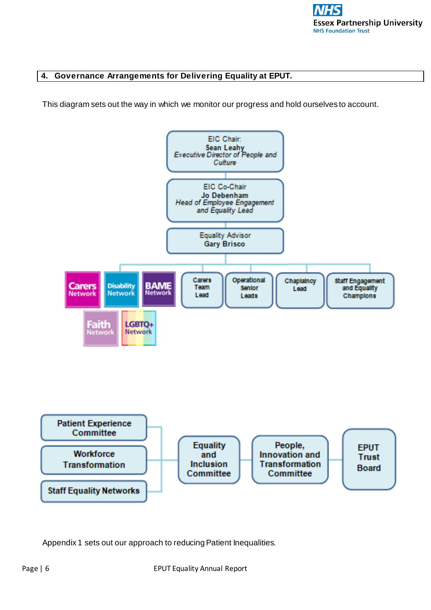

### **4. Governance Arrangements for Delivering Equality at EPUT.**

This diagram sets out the way in which we monitor our progress and hold ourselves to account.



Appendix 1 sets out our approach to reducing Patient Inequalities.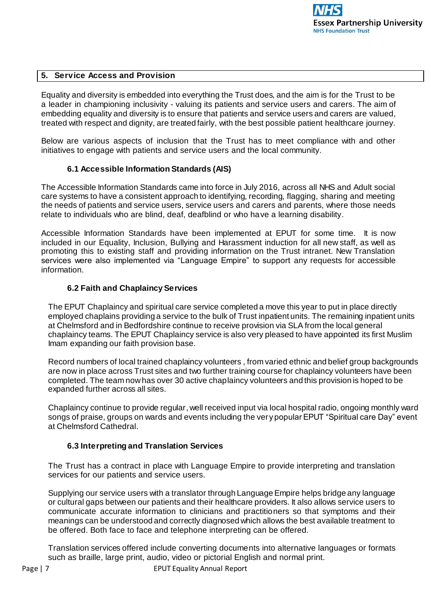

### **5. Service Access and Provision**

Equality and diversity is embedded into everything the Trust does, and the aim is for the Trust to be a leader in championing inclusivity - valuing its patients and service users and carers. The aim of embedding equality and diversity is to ensure that patients and service users and carers are valued, treated with respect and dignity, are treated fairly, with the best possible patient healthcare journey.

Below are various aspects of inclusion that the Trust has to meet compliance with and other initiatives to engage with patients and service users and the local community.

#### **6.1 Accessible Information Standards (AIS)**

The Accessible Information Standards came into force in July 2016, across all NHS and Adult social care systems to have a consistent approach to identifying, recording, flagging, sharing and meeting the needs of patients and service users, service users and carers and parents, where those needs relate to individuals who are blind, deaf, deafblind or who have a learning disability.

Accessible Information Standards have been implemented at EPUT for some time. It is now included in our Equality, Inclusion, Bullying and Harassment induction for all new staff, as well as promoting this to existing staff and providing information on the Trust intranet. New Translation services were also implemented via "Language Empire" to support any requests for accessible information.

#### **6.2 Faith and Chaplaincy Services**

The EPUT Chaplaincy and spiritual care service completed a move this year to put in place directly employed chaplains providing a service to the bulk of Trust inpatient units. The remaining inpatient units at Chelmsford and in Bedfordshire continue to receive provision via SLA from the local general chaplaincy teams. The EPUT Chaplaincy service is also very pleased to have appointed its first Muslim Imam expanding our faith provision base.

Record numbers of local trained chaplaincy volunteers , from varied ethnic and belief group backgrounds are now in place across Trust sites and two further training course for chaplaincy volunteers have been completed. The team now has over 30 active chaplaincy volunteers and this provision is hoped to be expanded further across all sites.

Chaplaincy continue to provide regular, well received input via local hospital radio, ongoing monthly ward songs of praise, groups on wards and events including the very popular EPUT "Spiritual care Day" event at Chelmsford Cathedral.

#### **6.3 Interpreting and Translation Services**

The Trust has a contract in place with Language Empire to provide interpreting and translation services for our patients and service users.

Supplying our service users with a translator through Language Empire helps bridge any language or cultural gaps between our patients and their healthcare providers. It also allows service users to communicate accurate information to clinicians and practitioners so that symptoms and their meanings can be understood and correctly diagnosed which allows the best available treatment to be offered. Both face to face and telephone interpreting can be offered.

Translation services offered include converting documents into alternative languages or formats such as braille, large print, audio, video or pictorial English and normal print.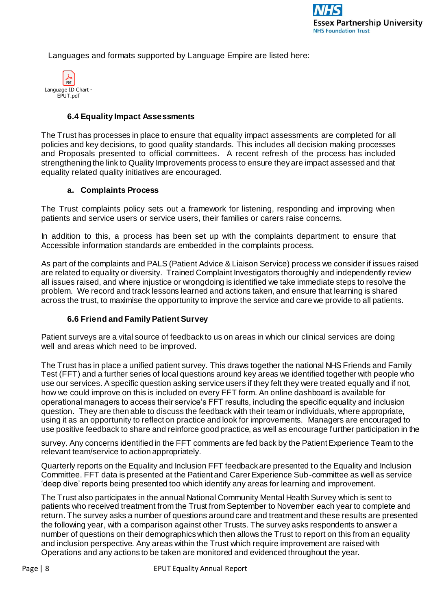Languages and formats supported by Language Empire are listed here:



### **6.4 Equality Impact Assessments**

The Trust has processes in place to ensure that equality impact assessments are completed for all policies and key decisions, to good quality standards. This includes all decision making processes and Proposals presented to official committees. A recent refresh of the process has included strengthening the link to Quality Improvements process to ensure they are impact assessed and that equality related quality initiatives are encouraged.

#### **a. Complaints Process**

The Trust complaints policy sets out a framework for listening, responding and improving when patients and service users or service users, their families or carers raise concerns.

In addition to this, a process has been set up with the complaints department to ensure that Accessible information standards are embedded in the complaints process.

As part of the complaints and PALS (Patient Advice & Liaison Service) process we consider if issues raised are related to equality or diversity. Trained Complaint Investigators thoroughly and independently review all issues raised, and where injustice or wrongdoing is identified we take immediate steps to resolve the problem. We record and track lessons learned and actions taken, and ensure that learning is shared across the trust, to maximise the opportunity to improve the service and care we provide to all patients.

#### **6.6 Friend and Family Patient Survey**

Patient surveys are a vital source of feedback to us on areas in which our clinical services are doing well and areas which need to be improved.

The Trust has in place a unified patient survey. This draws together the national NHS Friends and Family Test (FFT) and a further series of local questions around key areas we identified together with people who use our services. A specific question asking service users if they felt they were treated equally and if not, how we could improve on this is included on every FFT form. An online dashboard is available for operational managers to access their service's FFT results, including the specific equality and inclusion question. They are then able to discuss the feedback with their team or individuals, where appropriate, using it as an opportunity to reflect on practice and look for improvements. Managers are encouraged to use positive feedback to share and reinforce good practice, as well as encourage further participation in the

survey. Any concerns identified in the FFT comments are fed back by the Patient Experience Team to the relevant team/service to action appropriately.

Quarterly reports on the Equality and Inclusion FFT feedback are presented to the Equality and Inclusion Committee. FFT data is presented at the Patient and Carer Experience Sub-committee as well as service 'deep dive' reports being presented too which identify any areas for learning and improvement.

The Trust also participates in the annual National Community Mental Health Survey which is sent to patients who received treatment from the Trust from September to November each year to complete and return. The survey asks a number of questions around care and treatment and these results are presented the following year, with a comparison against other Trusts. The survey asks respondents to answer a number of questions on their demographics which then allows the Trust to report on this from an equality and inclusion perspective. Any areas within the Trust which require improvement are raised with Operations and any actions to be taken are monitored and evidenced throughout the year.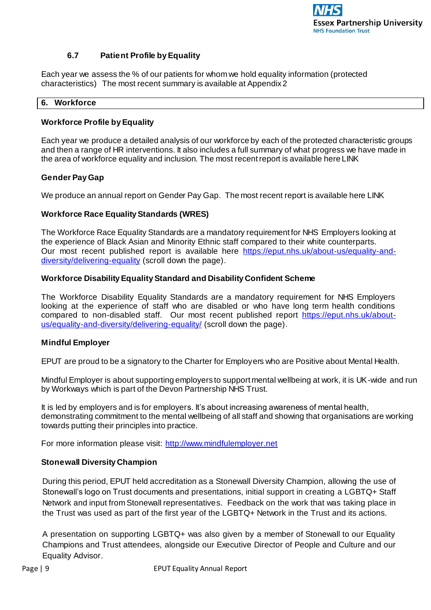

# **6.7 Patient Profile by Equality**

Each year we assess the % of our patients for whom we hold equality information (protected characteristics) The most recent summary is available at Appendix 2

#### **6. Workforce**

### **Workforce Profile by Equality**

Each year we produce a detailed analysis of our workforce by each of the protected characteristic groups and then a range of HR interventions. It also includes a full summary of what progress we have made in the area of workforce equality and inclusion. The most recent report is available here LINK

### **Gender Pay Gap**

We produce an annual report on Gender Pay Gap. The most recent report is available here LINK

### **Workforce Race Equality Standards (WRES)**

The Workforce Race Equality Standards are a mandatory requirement for NHS Employers looking at the experience of Black Asian and Minority Ethnic staff compared to their white counterparts. Our most recent published report is available here [https://eput.nhs.uk/about-us/equality-and](https://eput.nhs.uk/about-us/equality-and-diversity/delivering-equality)[diversity/delivering-equality](https://eput.nhs.uk/about-us/equality-and-diversity/delivering-equality) (scroll down the page).

### **Workforce Disability Equality Standard and Disability Confident Scheme**

The Workforce Disability Equality Standards are a mandatory requirement for NHS Employers looking at the experience of staff who are disabled or who have long term health conditions compared to non-disabled staff. Our most recent published report [https://eput.nhs.uk/about](https://eput.nhs.uk/about-us/equality-and-diversity/delivering-equality/)[us/equality-and-diversity/delivering-equality](https://eput.nhs.uk/about-us/equality-and-diversity/delivering-equality/)/ (scroll down the page).

#### **Mindful Employer**

EPUT are proud to be a signatory to the Charter for Employers who are Positive about Mental Health.

Mindful Employer is about supporting employers to support mental wellbeing at work, it is UK-wide and run by Workways which is part of the Devon Partnership NHS Trust.

It is led by employers and is for employers. It's about increasing awareness of mental health, demonstrating commitment to the mental wellbeing of all staff and showing that organisations are working towards putting their principles into practice.

For more information please visi[t: http://www.mindfulemployer.ne](http://www.mindfulemployer.net/)t

#### **Stonewall Diversity Champion**

During this period, EPUT held accreditation as a Stonewall Diversity Champion, allowing the use of Stonewall's logo on Trust documents and presentations, initial support in creating a LGBTQ+ Staff Network and input from Stonewall representatives. Feedback on the work that was taking place in the Trust was used as part of the first year of the LGBTQ+ Network in the Trust and its actions.

A presentation on supporting LGBTQ+ was also given by a member of Stonewall to our Equality Champions and Trust attendees, alongside our Executive Director of People and Culture and our Equality Advisor.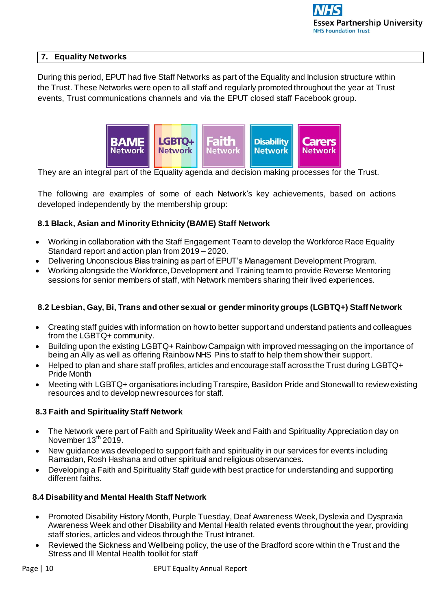### **7. Equality Networks**

During this period, EPUT had five Staff Networks as part of the Equality and Inclusion structure within the Trust. These Networks were open to all staff and regularly promoted throughout the year at Trust events, Trust communications channels and via the EPUT closed staff Facebook group.



They are an integral part of the Equality agenda and decision making processes for the Trust.

The following are examples of some of each Network's key achievements, based on actions developed independently by the membership group:

### **8.1 Black, Asian and Minority Ethnicity (BAME) Staff Network**

- Working in collaboration with the Staff Engagement Team to develop the Workforce Race Equality Standard report and action plan from 2019 – 2020.
- Delivering Unconscious Bias training as part of EPUT's Management Development Program.
- Working alongside the Workforce, Development and Training team to provide Reverse Mentoring sessions for senior members of staff, with Network members sharing their lived experiences.

# **8.2 Lesbian, Gay, Bi, Trans and other sexual or gender minority groups (LGBTQ+) Staff Network**

- Creating staff guides with information on how to better support and understand patients and colleagues from the LGBTQ+ community.
- Building upon the existing LGBTQ+ Rainbow Campaign with improved messaging on the importance of being an Ally as well as offering Rainbow NHS Pins to staff to help them show their support.
- Helped to plan and share staff profiles, articles and encourage staff across the Trust during LGBTQ+ Pride Month
- Meeting with LGBTQ+ organisations including Transpire, Basildon Pride and Stonewall to review existing resources and to develop new resources for staff.

#### **8.3 Faith and Spirituality Staff Network**

- The Network were part of Faith and Spirituality Week and Faith and Spirituality Appreciation day on November 13<sup>th</sup> 2019.
- New guidance was developed to support faith and spirituality in our services for events including Ramadan, Rosh Hashana and other spiritual and religious observances.
- Developing a Faith and Spirituality Staff guide with best practice for understanding and supporting different faiths.

#### **8.4 Disability and Mental Health Staff Network**

- Promoted Disability History Month, Purple Tuesday, Deaf Awareness Week, Dyslexia and Dyspraxia Awareness Week and other Disability and Mental Health related events throughout the year, providing staff stories, articles and videos through the Trust Intranet.
- Reviewed the Sickness and Wellbeing policy, the use of the Bradford score within the Trust and the Stress and Ill Mental Health toolkit for staff